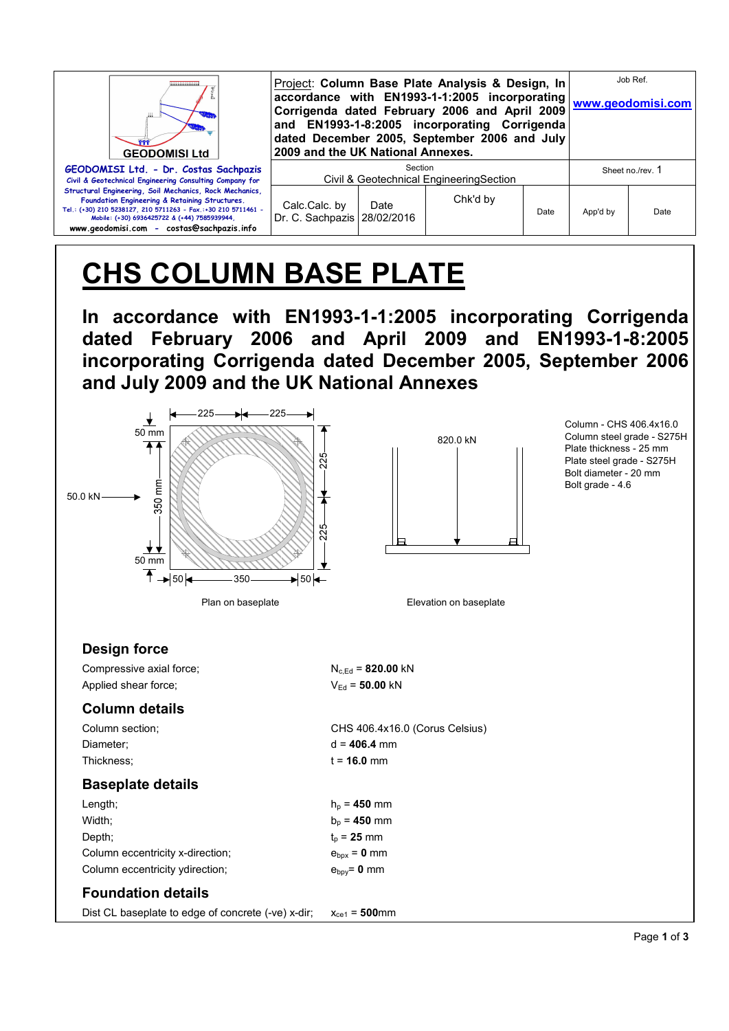| <br><b>GEODOMISI Ltd</b>                                                                                                                                                                                                                                                | Project: Column Base Plate Analysis & Design, In<br>Corrigenda dated February 2006 and April 2009<br>and EN1993-1-8:2005 incorporating Corrigenda<br>dated December 2005, September 2006 and July<br>2009 and the UK National Annexes. | Job Ref.<br>accordance with EN1993-1-1:2005 incorporating www.geodomisi.com |          |      |                  |      |
|-------------------------------------------------------------------------------------------------------------------------------------------------------------------------------------------------------------------------------------------------------------------------|----------------------------------------------------------------------------------------------------------------------------------------------------------------------------------------------------------------------------------------|-----------------------------------------------------------------------------|----------|------|------------------|------|
| GEODOMISI Ltd. - Dr. Costas Sachpazis<br>Civil & Geotechnical Engineering Consulting Company for                                                                                                                                                                        | Section<br>Civil & Geotechnical EngineeringSection                                                                                                                                                                                     |                                                                             |          |      | Sheet no./rev. 1 |      |
| Structural Engineering, Soil Mechanics, Rock Mechanics,<br>Foundation Engineering & Retaining Structures.<br>Tel.: (+30) 210 5238127, 210 5711263 - Fax.:+30 210 5711461 -<br>Mobile: (+30) 6936425722 & (+44) 7585939944.<br>www.geodomisi.com - costas@sachpazis.info | Calc.Calc.by<br>Dr. C. Sachpazis   28/02/2016                                                                                                                                                                                          | Date                                                                        | Chk'd by | Date | App'd by         | Date |

# **CHS COLUMN BASE PLATE**

**In accordance with EN1993-1-1:2005 incorporating Corrigenda dated February 2006 and April 2009 and EN1993-1-8:2005 incorporating Corrigenda dated December 2005, September 2006 and July 2009 and the UK National Annexes**





Column - CHS 406.4x16.0 Column steel grade - S275H Plate thickness - 25 mm Plate steel grade - S275H Bolt diameter - 20 mm Bolt grade - 4.6

## **Design force**

Compressive axial force;  $N_{c,Ed} = 820.00 \text{ kN}$ Applied shear force;  $V_{Ed} = 50.00 \text{ kN}$ 

## **Column details**

| Column section;                  | CHS 406.4x16.0 (Corus Celsius) |
|----------------------------------|--------------------------------|
| Diameter:                        | $d = 406.4$ mm                 |
| Thickness:                       | $t = 16.0$ mm                  |
| <b>Baseplate details</b>         |                                |
| Length;                          | $h_{\rm p}$ = 450 mm           |
| Width:                           | $b_{p} = 450$ mm               |
| Depth:                           | $t_{p}$ = 25 mm                |
| Column eccentricity x-direction; | $e_{\text{box}} = 0$ mm        |
| Column eccentricity ydirection;  | $e_{\text{bpy}} = 0$ mm        |
|                                  |                                |

## **Foundation details**

Dist CL baseplate to edge of concrete (-ve) x-dir;  $x_{ce1} = 500$ mm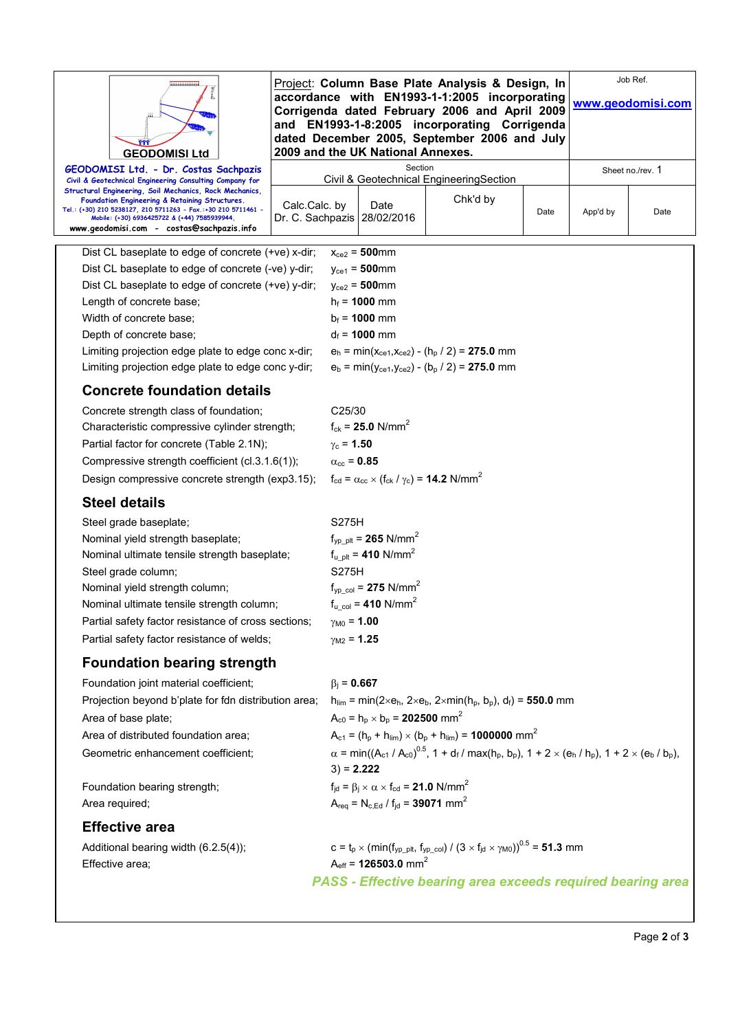| <br><b>GEODOMISI Ltd</b>                                                                                                                                                                                                                                                                                                           | Project: Column Base Plate Analysis & Design, In<br>accordance with EN1993-1-1:2005 incorporating<br>Corrigenda dated February 2006 and April 2009<br>and EN1993-1-8:2005 incorporating Corrigenda<br>dated December 2005, September 2006 and July<br>2009 and the UK National Annexes. |                                                                                                                                                                                                     |                                                                                             |                                                                                                              |      | Job Ref.<br>www.geodomisi.com |                  |  |
|------------------------------------------------------------------------------------------------------------------------------------------------------------------------------------------------------------------------------------------------------------------------------------------------------------------------------------|-----------------------------------------------------------------------------------------------------------------------------------------------------------------------------------------------------------------------------------------------------------------------------------------|-----------------------------------------------------------------------------------------------------------------------------------------------------------------------------------------------------|---------------------------------------------------------------------------------------------|--------------------------------------------------------------------------------------------------------------|------|-------------------------------|------------------|--|
| GEODOMISI Ltd. - Dr. Costas Sachpazis                                                                                                                                                                                                                                                                                              |                                                                                                                                                                                                                                                                                         |                                                                                                                                                                                                     | Section                                                                                     | Civil & Geotechnical Engineering Section                                                                     |      |                               | Sheet no./rev. 1 |  |
| Civil & Geotechnical Engineering Consulting Company for<br>Structural Engineering, Soil Mechanics, Rock Mechanics,<br>Foundation Engineering & Retaining Structures.<br>Tel.: (+30) 210 5238127, 210 5711263 - Fax.:+30 210 5711461 -<br>Mobile: (+30) 6936425722 & (+44) 7585939944,<br>www.geodomisi.com - costas@sachpazis.info | Calc.Calc.by                                                                                                                                                                                                                                                                            |                                                                                                                                                                                                     | Date<br>Dr. C. Sachpazis   28/02/2016                                                       | Chk'd by                                                                                                     | Date | App'd by                      | Date             |  |
| Dist CL baseplate to edge of concrete (+ve) x-dir;                                                                                                                                                                                                                                                                                 |                                                                                                                                                                                                                                                                                         |                                                                                                                                                                                                     | $x_{ce2} = 500$ mm                                                                          |                                                                                                              |      |                               |                  |  |
| Dist CL baseplate to edge of concrete (-ve) y-dir;                                                                                                                                                                                                                                                                                 |                                                                                                                                                                                                                                                                                         |                                                                                                                                                                                                     | $y_{ce1} = 500$ mm                                                                          |                                                                                                              |      |                               |                  |  |
| Dist CL baseplate to edge of concrete (+ve) y-dir;                                                                                                                                                                                                                                                                                 |                                                                                                                                                                                                                                                                                         |                                                                                                                                                                                                     | $y_{ce2} = 500$ mm                                                                          |                                                                                                              |      |                               |                  |  |
| Length of concrete base;                                                                                                                                                                                                                                                                                                           |                                                                                                                                                                                                                                                                                         |                                                                                                                                                                                                     | $h_f = 1000$ mm                                                                             |                                                                                                              |      |                               |                  |  |
| Width of concrete base:                                                                                                                                                                                                                                                                                                            |                                                                                                                                                                                                                                                                                         |                                                                                                                                                                                                     | $b_f = 1000$ mm                                                                             |                                                                                                              |      |                               |                  |  |
| Depth of concrete base;                                                                                                                                                                                                                                                                                                            |                                                                                                                                                                                                                                                                                         |                                                                                                                                                                                                     | $d_f = 1000$ mm                                                                             |                                                                                                              |      |                               |                  |  |
| Limiting projection edge plate to edge conc x-dir;<br>Limiting projection edge plate to edge conc y-dir;                                                                                                                                                                                                                           |                                                                                                                                                                                                                                                                                         |                                                                                                                                                                                                     |                                                                                             | $e_h = min(x_{ce1}, x_{ce2}) - (h_p / 2) = 275.0$ mm<br>$e_b = min(y_{ce1}, y_{ce2}) - (b_p / 2) = 275.0$ mm |      |                               |                  |  |
| <b>Concrete foundation details</b>                                                                                                                                                                                                                                                                                                 |                                                                                                                                                                                                                                                                                         |                                                                                                                                                                                                     |                                                                                             |                                                                                                              |      |                               |                  |  |
| Concrete strength class of foundation;                                                                                                                                                                                                                                                                                             |                                                                                                                                                                                                                                                                                         | C <sub>25</sub> /30                                                                                                                                                                                 |                                                                                             |                                                                                                              |      |                               |                  |  |
| Characteristic compressive cylinder strength;                                                                                                                                                                                                                                                                                      |                                                                                                                                                                                                                                                                                         | $f_{ck}$ = 25.0 N/mm <sup>2</sup>                                                                                                                                                                   |                                                                                             |                                                                                                              |      |                               |                  |  |
| Partial factor for concrete (Table 2.1N);                                                                                                                                                                                                                                                                                          |                                                                                                                                                                                                                                                                                         | $y_c = 1.50$                                                                                                                                                                                        |                                                                                             |                                                                                                              |      |                               |                  |  |
| Compressive strength coefficient (cl.3.1.6(1));                                                                                                                                                                                                                                                                                    |                                                                                                                                                                                                                                                                                         | $\alpha_{\rm cc}$ = 0.85                                                                                                                                                                            |                                                                                             |                                                                                                              |      |                               |                  |  |
| Design compressive concrete strength (exp3.15);                                                                                                                                                                                                                                                                                    |                                                                                                                                                                                                                                                                                         | $f_{\rm cd} = \alpha_{\rm cc} \times (f_{\rm ck} / \gamma_{\rm c}) = 14.2$ N/mm <sup>2</sup>                                                                                                        |                                                                                             |                                                                                                              |      |                               |                  |  |
| <b>Steel details</b>                                                                                                                                                                                                                                                                                                               |                                                                                                                                                                                                                                                                                         |                                                                                                                                                                                                     |                                                                                             |                                                                                                              |      |                               |                  |  |
| Steel grade baseplate;                                                                                                                                                                                                                                                                                                             |                                                                                                                                                                                                                                                                                         | S275H                                                                                                                                                                                               |                                                                                             |                                                                                                              |      |                               |                  |  |
| Nominal yield strength baseplate;                                                                                                                                                                                                                                                                                                  |                                                                                                                                                                                                                                                                                         |                                                                                                                                                                                                     | $f_{\text{vp}}$ <sub>plt</sub> = <b>265</b> N/mm <sup>2</sup>                               |                                                                                                              |      |                               |                  |  |
| Nominal ultimate tensile strength baseplate;                                                                                                                                                                                                                                                                                       |                                                                                                                                                                                                                                                                                         |                                                                                                                                                                                                     | $f_{u_p} = 410 \text{ N/mm}^2$                                                              |                                                                                                              |      |                               |                  |  |
| Steel grade column;                                                                                                                                                                                                                                                                                                                |                                                                                                                                                                                                                                                                                         | S275H                                                                                                                                                                                               |                                                                                             |                                                                                                              |      |                               |                  |  |
| Nominal yield strength column;                                                                                                                                                                                                                                                                                                     |                                                                                                                                                                                                                                                                                         |                                                                                                                                                                                                     | $f_{yp\_col} = 275$ N/mm <sup>2</sup>                                                       |                                                                                                              |      |                               |                  |  |
| Nominal ultimate tensile strength column;                                                                                                                                                                                                                                                                                          |                                                                                                                                                                                                                                                                                         |                                                                                                                                                                                                     | $f_{u_{\text{col}}} = 410 \text{ N/mm}^2$                                                   |                                                                                                              |      |                               |                  |  |
| Partial safety factor resistance of cross sections;                                                                                                                                                                                                                                                                                |                                                                                                                                                                                                                                                                                         | $\gamma_{M0} = 1.00$<br>$\gamma_{M2} = 1.25$                                                                                                                                                        |                                                                                             |                                                                                                              |      |                               |                  |  |
| Partial safety factor resistance of welds;                                                                                                                                                                                                                                                                                         |                                                                                                                                                                                                                                                                                         |                                                                                                                                                                                                     |                                                                                             |                                                                                                              |      |                               |                  |  |
| <b>Foundation bearing strength</b>                                                                                                                                                                                                                                                                                                 |                                                                                                                                                                                                                                                                                         |                                                                                                                                                                                                     |                                                                                             |                                                                                                              |      |                               |                  |  |
| Foundation joint material coefficient;                                                                                                                                                                                                                                                                                             |                                                                                                                                                                                                                                                                                         | $\beta_i = 0.667$                                                                                                                                                                                   |                                                                                             |                                                                                                              |      |                               |                  |  |
| Projection beyond b'plate for fdn distribution area;                                                                                                                                                                                                                                                                               |                                                                                                                                                                                                                                                                                         |                                                                                                                                                                                                     |                                                                                             | $h_{\text{lim}} = \min(2 \times e_h, 2 \times e_b, 2 \times \min(h_p, b_p), d_f) = 550.0$ mm                 |      |                               |                  |  |
| Area of base plate;                                                                                                                                                                                                                                                                                                                |                                                                                                                                                                                                                                                                                         |                                                                                                                                                                                                     | $A_{c0} = h_p \times b_p = 202500$ mm <sup>2</sup>                                          |                                                                                                              |      |                               |                  |  |
| Area of distributed foundation area;                                                                                                                                                                                                                                                                                               |                                                                                                                                                                                                                                                                                         | $A_{c1} = (h_p + h_{lim}) \times (b_p + h_{lim}) = 1000000$ mm <sup>2</sup><br>$\alpha = min((A_{c1} / A_{c0})^{0.5}, 1 + d_f / max(h_p, b_p), 1 + 2 \times (e_h / h_p), 1 + 2 \times (e_b / b_p))$ |                                                                                             |                                                                                                              |      |                               |                  |  |
| Geometric enhancement coefficient;                                                                                                                                                                                                                                                                                                 |                                                                                                                                                                                                                                                                                         | $3) = 2.222$                                                                                                                                                                                        |                                                                                             |                                                                                                              |      |                               |                  |  |
| Foundation bearing strength;                                                                                                                                                                                                                                                                                                       |                                                                                                                                                                                                                                                                                         |                                                                                                                                                                                                     | $f_{\text{jd}} = \beta_{\text{i}} \times \alpha \times f_{\text{cd}} = 21.0 \text{ N/mm}^2$ |                                                                                                              |      |                               |                  |  |
| Area required;                                                                                                                                                                                                                                                                                                                     |                                                                                                                                                                                                                                                                                         |                                                                                                                                                                                                     | $A_{\text{req}} = N_{\text{c,Ed}} / f_{\text{jd}} = 39071 \text{ mm}^2$                     |                                                                                                              |      |                               |                  |  |
| <b>Effective area</b>                                                                                                                                                                                                                                                                                                              |                                                                                                                                                                                                                                                                                         |                                                                                                                                                                                                     |                                                                                             |                                                                                                              |      |                               |                  |  |
| Additional bearing width (6.2.5(4));<br>Effective area;                                                                                                                                                                                                                                                                            |                                                                                                                                                                                                                                                                                         |                                                                                                                                                                                                     | $A_{eff}$ = 126503.0 mm <sup>2</sup>                                                        | $c = t_p \times (min(f_{yp\_plt}, f_{yp\_col}) / (3 \times f_{id} \times \gamma_{M0}))^{0.5} = 51.3$ mm      |      |                               |                  |  |
|                                                                                                                                                                                                                                                                                                                                    |                                                                                                                                                                                                                                                                                         |                                                                                                                                                                                                     |                                                                                             | <b>PASS - Effective bearing area exceeds required bearing area</b>                                           |      |                               |                  |  |